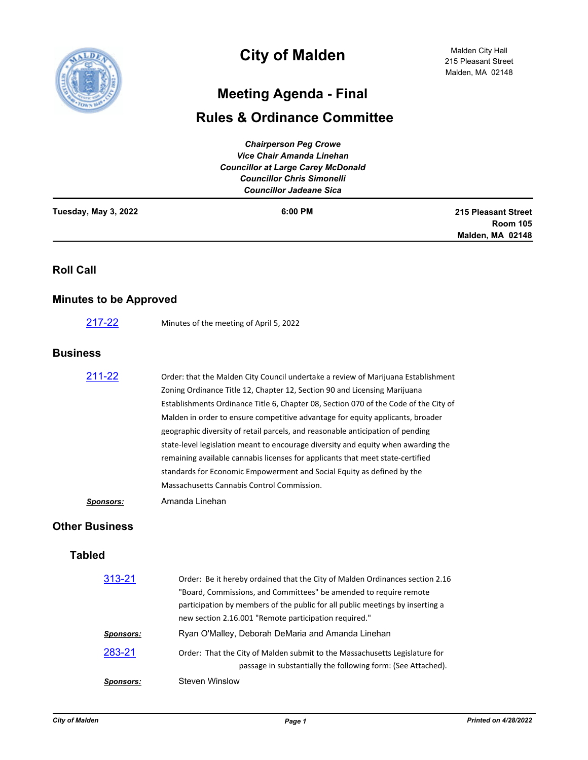

## **City of Malden**

## **Meeting Agenda - Final**

## **Rules & Ordinance Committee**

| <b>Chairperson Peg Crowe</b><br><b>Vice Chair Amanda Linehan</b><br><b>Councillor at Large Carey McDonald</b><br><b>Councillor Chris Simonelli</b><br><b>Councillor Jadeane Sica</b> |                                                                                                                                                                                                                                                                                                                                                                                                                                                                                                                                                                                                                                                                                                                           |                                                                   |
|--------------------------------------------------------------------------------------------------------------------------------------------------------------------------------------|---------------------------------------------------------------------------------------------------------------------------------------------------------------------------------------------------------------------------------------------------------------------------------------------------------------------------------------------------------------------------------------------------------------------------------------------------------------------------------------------------------------------------------------------------------------------------------------------------------------------------------------------------------------------------------------------------------------------------|-------------------------------------------------------------------|
| Tuesday, May 3, 2022                                                                                                                                                                 | 6:00 PM                                                                                                                                                                                                                                                                                                                                                                                                                                                                                                                                                                                                                                                                                                                   | <b>215 Pleasant Street</b><br><b>Room 105</b><br>Malden, MA 02148 |
| <b>Roll Call</b>                                                                                                                                                                     |                                                                                                                                                                                                                                                                                                                                                                                                                                                                                                                                                                                                                                                                                                                           |                                                                   |
| <b>Minutes to be Approved</b>                                                                                                                                                        |                                                                                                                                                                                                                                                                                                                                                                                                                                                                                                                                                                                                                                                                                                                           |                                                                   |
| 217-22                                                                                                                                                                               | Minutes of the meeting of April 5, 2022                                                                                                                                                                                                                                                                                                                                                                                                                                                                                                                                                                                                                                                                                   |                                                                   |
| <b>Business</b>                                                                                                                                                                      |                                                                                                                                                                                                                                                                                                                                                                                                                                                                                                                                                                                                                                                                                                                           |                                                                   |
| 211-22                                                                                                                                                                               | Order: that the Malden City Council undertake a review of Marijuana Establishment<br>Zoning Ordinance Title 12, Chapter 12, Section 90 and Licensing Marijuana<br>Establishments Ordinance Title 6, Chapter 08, Section 070 of the Code of the City of<br>Malden in order to ensure competitive advantage for equity applicants, broader<br>geographic diversity of retail parcels, and reasonable anticipation of pending<br>state-level legislation meant to encourage diversity and equity when awarding the<br>remaining available cannabis licenses for applicants that meet state-certified<br>standards for Economic Empowerment and Social Equity as defined by the<br>Massachusetts Cannabis Control Commission. |                                                                   |
| <b>Sponsors:</b>                                                                                                                                                                     | Amanda Linehan                                                                                                                                                                                                                                                                                                                                                                                                                                                                                                                                                                                                                                                                                                            |                                                                   |
| <b>Other Business</b>                                                                                                                                                                |                                                                                                                                                                                                                                                                                                                                                                                                                                                                                                                                                                                                                                                                                                                           |                                                                   |
| <b>Tabled</b>                                                                                                                                                                        |                                                                                                                                                                                                                                                                                                                                                                                                                                                                                                                                                                                                                                                                                                                           |                                                                   |
| 313-21                                                                                                                                                                               | Order: Be it hereby ordained that the City of Malden Ordinances section 2.16<br>"Board, Commissions, and Committees" be amended to require remote<br>participation by members of the public for all public meetings by inserting a<br>new section 2.16.001 "Remote participation required."                                                                                                                                                                                                                                                                                                                                                                                                                               |                                                                   |
| <b>Sponsors:</b>                                                                                                                                                                     | Ryan O'Malley, Deborah DeMaria and Amanda Linehan                                                                                                                                                                                                                                                                                                                                                                                                                                                                                                                                                                                                                                                                         |                                                                   |
| 283-21                                                                                                                                                                               | Order: That the City of Malden submit to the Massachusetts Legislature for<br>passage in substantially the following form: (See Attached).                                                                                                                                                                                                                                                                                                                                                                                                                                                                                                                                                                                |                                                                   |
| <b>Sponsors:</b>                                                                                                                                                                     | <b>Steven Winslow</b>                                                                                                                                                                                                                                                                                                                                                                                                                                                                                                                                                                                                                                                                                                     |                                                                   |